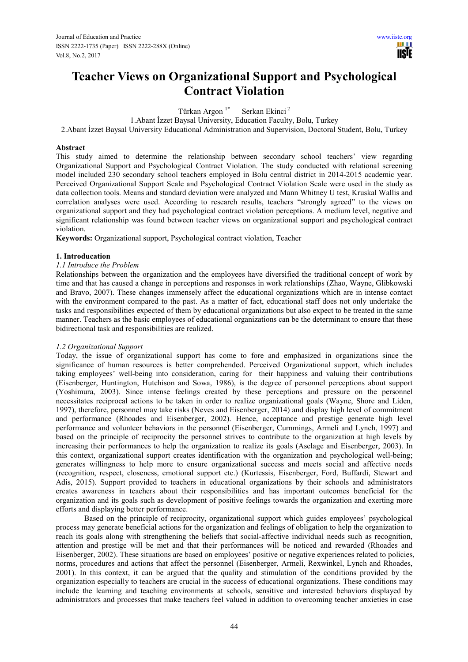# **Teacher Views on Organizational Support and Psychological Contract Violation**

Türkan Argon<sup>1\*</sup> Serkan Ekinci<sup>2</sup>

1.Abant İzzet Baysal University, Education Faculty, Bolu, Turkey

2.Abant İzzet Baysal University Educational Administration and Supervision, Doctoral Student, Bolu, Turkey

# **Abstract**

This study aimed to determine the relationship between secondary school teachers' view regarding Organizational Support and Psychological Contract Violation. The study conducted with relational screening model included 230 secondary school teachers employed in Bolu central district in 2014-2015 academic year. Perceived Organizational Support Scale and Psychological Contract Violation Scale were used in the study as data collection tools. Means and standard deviation were analyzed and Mann Whitney U test, Kruskal Wallis and correlation analyses were used. According to research results, teachers "strongly agreed" to the views on organizational support and they had psychological contract violation perceptions. A medium level, negative and significant relationship was found between teacher views on organizational support and psychological contract violation.

**Keywords:** Organizational support, Psychological contract violation, Teacher

## **1. Introducation**

# *1.1 Introduce the Problem*

Relationships between the organization and the employees have diversified the traditional concept of work by time and that has caused a change in perceptions and responses in work relationships (Zhao, Wayne, Glibkowski and Bravo, 2007). These changes immensely affect the educational organizations which are in intense contact with the environment compared to the past. As a matter of fact, educational staff does not only undertake the tasks and responsibilities expected of them by educational organizations but also expect to be treated in the same manner. Teachers as the basic employees of educational organizations can be the determinant to ensure that these bidirectional task and responsibilities are realized.

# *1.2 Organizational Support*

Today, the issue of organizational support has come to fore and emphasized in organizations since the significance of human resources is better comprehended. Perceived Organizational support, which includes taking employees' well-being into consideration, caring for their happiness and valuing their contributions (Eisenberger, Huntington, Hutchison and Sowa, 1986), is the degree of personnel perceptions about support (Yoshimura, 2003). Since intense feelings created by these perceptions and pressure on the personnel necessitates reciprocal actions to be taken in order to realize organizational goals (Wayne, Shore and Liden, 1997), therefore, personnel may take risks (Neves and Eisenberger, 2014) and display high level of commitment and performance (Rhoades and Eisenberger, 2002). Hence, acceptance and prestige generate high level performance and volunteer behaviors in the personnel (Eisenberger, Curnmings, Armeli and Lynch, 1997) and based on the principle of reciprocity the personnel strives to contribute to the organization at high levels by increasing their performances to help the organization to realize its goals (Aselage and Eisenberger, 2003). In this context, organizational support creates identification with the organization and psychological well-being; generates willingness to help more to ensure organizational success and meets social and affective needs (recognition, respect, closeness, emotional support etc.) (Kurtessis, Eisenberger, Ford, Buffardi, Stewart and Adis, 2015). Support provided to teachers in educational organizations by their schools and administrators creates awareness in teachers about their responsibilities and has important outcomes beneficial for the organization and its goals such as development of positive feelings towards the organization and exerting more efforts and displaying better performance.

Based on the principle of reciprocity, organizational support which guides employees' psychological process may generate beneficial actions for the organization and feelings of obligation to help the organization to reach its goals along with strengthening the beliefs that social-affective individual needs such as recognition, attention and prestige will be met and that their performances will be noticed and rewarded (Rhoades and Eisenberger, 2002). These situations are based on employees' positive or negative experiences related to policies, norms, procedures and actions that affect the personnel (Eisenberger, Armeli, Rexwinkel, Lynch and Rhoades, 2001). In this context, it can be argued that the quality and stimulation of the conditions provided by the organization especially to teachers are crucial in the success of educational organizations. These conditions may include the learning and teaching environments at schools, sensitive and interested behaviors displayed by administrators and processes that make teachers feel valued in addition to overcoming teacher anxieties in case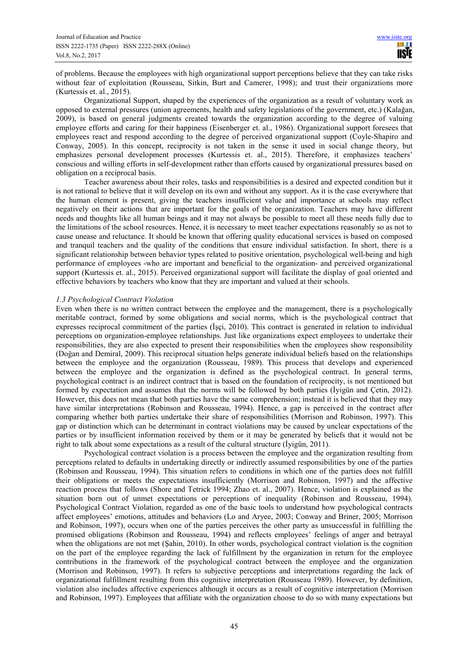of problems. Because the employees with high organizational support perceptions believe that they can take risks without fear of exploitation (Rousseau, Sitkin, Burt and Camerer, 1998); and trust their organizations more (Kurtessis et. al., 2015).

Organizational Support, shaped by the experiences of the organization as a result of voluntary work as opposed to external pressures (union agreements, health and safety legislations of the government, etc.) (Kalağan, 2009), is based on general judgments created towards the organization according to the degree of valuing employee efforts and caring for their happiness (Eisenberger et. al., 1986). Organizational support foresees that employees react and respond according to the degree of perceived organizational support (Coyle-Shapiro and Conway, 2005). In this concept, reciprocity is not taken in the sense it used in social change theory, but emphasizes personal development processes (Kurtessis et. al., 2015). Therefore, it emphasizes teachers' conscious and willing efforts in self-development rather than efforts caused by organizational pressures based on obligation on a reciprocal basis.

Teacher awareness about their roles, tasks and responsibilities is a desired and expected condition but it is not rational to believe that it will develop on its own and without any support. As it is the case everywhere that the human element is present, giving the teachers insufficient value and importance at schools may reflect negatively on their actions that are important for the goals of the organization. Teachers may have different needs and thoughts like all human beings and it may not always be possible to meet all these needs fully due to the limitations of the school resources. Hence, it is necessary to meet teacher expectations reasonably so as not to cause unease and reluctance. It should be known that offering quality educational services is based on composed and tranquil teachers and the quality of the conditions that ensure individual satisfaction. In short, there is a significant relationship between behavior types related to positive orientation, psychological well-being and high performance of employees -who are important and beneficial to the organization- and perceived organizational support (Kurtessis et. al., 2015). Perceived organizational support will facilitate the display of goal oriented and effective behaviors by teachers who know that they are important and valued at their schools.

## *1.3 Psychological Contract Violation*

Even when there is no written contract between the employee and the management, there is a psychologically meritable contract, formed by some obligations and social norms, which is the psychological contract that expresses reciprocal commitment of the parties (İşçi, 2010). This contract is generated in relation to individual perceptions on organization-employee relationships. Just like organizations expect employees to undertake their responsibilities, they are also expected to present their responsibilities when the employees show responsibility (Doğan and Demiral, 2009). This reciprocal situation helps generate individual beliefs based on the relationships between the employee and the organization (Rousseau, 1989). This process that develops and experienced between the employee and the organization is defined as the psychological contract. In general terms, psychological contract is an indirect contract that is based on the foundation of reciprocity, is not mentioned but formed by expectation and assumes that the norms will be followed by both parties (İyigün and Çetin, 2012). However, this does not mean that both parties have the same comprehension; instead it is believed that they may have similar interpretations (Robinson and Rousseau, 1994). Hence, a gap is perceived in the contract after comparing whether both parties undertake their share of responsibilities (Morrison and Robinson, 1997). This gap or distinction which can be determinant in contract violations may be caused by unclear expectations of the parties or by insufficient information received by them or it may be generated by beliefs that it would not be right to talk about some expectations as a result of the cultural structure (İyigün, 2011).

Psychological contract violation is a process between the employee and the organization resulting from perceptions related to defaults in undertaking directly or indirectly assumed responsibilities by one of the parties (Robinson and Rousseau, 1994). This situation refers to conditions in which one of the parties does not fulfill their obligations or meets the expectations insufficiently (Morrison and Robinson, 1997) and the affective reaction process that follows (Shore and Tetrick 1994; Zhao et. al., 2007). Hence, violation is explained as the situation born out of unmet expectations or perceptions of inequality (Robinson and Rousseau, 1994). Psychological Contract Violation, regarded as one of the basic tools to understand how psychological contracts affect employees' emotions, attitudes and behaviors (Lo and Aryee, 2003; Conway and Briner, 2005; Morrison and Robinson, 1997), occurs when one of the parties perceives the other party as unsuccessful in fulfilling the promised obligations (Robinson and Rousseau, 1994) and reflects employees' feelings of anger and betrayal when the obligations are not met (Şahin, 2010). In other words, psychological contract violation is the cognition on the part of the employee regarding the lack of fulfillment by the organization in return for the employee contributions in the framework of the psychological contract between the employee and the organization (Morrison and Robinson, 1997). It refers to subjective perceptions and interpretations regarding the lack of organizational fulfillment resulting from this cognitive interpretation (Rousseau 1989). However, by definition, violation also includes affective experiences although it occurs as a result of cognitive interpretation (Morrison and Robinson, 1997). Employees that affiliate with the organization choose to do so with many expectations but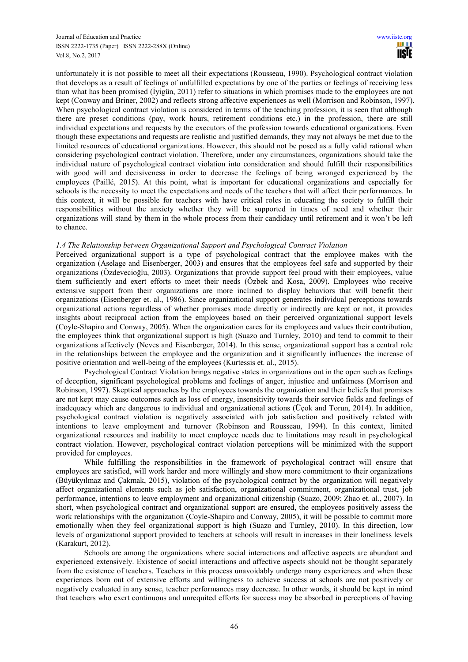unfortunately it is not possible to meet all their expectations (Rousseau, 1990). Psychological contract violation that develops as a result of feelings of unfulfilled expectations by one of the parties or feelings of receiving less than what has been promised (İyigün, 2011) refer to situations in which promises made to the employees are not kept (Conway and Briner, 2002) and reflects strong affective experiences as well (Morrison and Robinson, 1997). When psychological contract violation is considered in terms of the teaching profession, it is seen that although there are preset conditions (pay, work hours, retirement conditions etc.) in the profession, there are still individual expectations and requests by the executors of the profession towards educational organizations. Even though these expectations and requests are realistic and justified demands, they may not always be met due to the limited resources of educational organizations. However, this should not be posed as a fully valid rational when considering psychological contract violation. Therefore, under any circumstances, organizations should take the individual nature of psychological contract violation into consideration and should fulfill their responsibilities with good will and decisiveness in order to decrease the feelings of being wronged experienced by the employees (Paillé, 2015). At this point, what is important for educational organizations and especially for schools is the necessity to meet the expectations and needs of the teachers that will affect their performances. In this context, it will be possible for teachers with have critical roles in educating the society to fulfill their responsibilities without the anxiety whether they will be supported in times of need and whether their organizations will stand by them in the whole process from their candidacy until retirement and it won't be left to chance.

## *1.4 The Relationship between Organizational Support and Psychological Contract Violation*

Perceived organizational support is a type of psychological contract that the employee makes with the organization (Aselage and Eisenberger, 2003) and ensures that the employees feel safe and supported by their organizations (Özdevecioğlu, 2003). Organizations that provide support feel proud with their employees, value them sufficiently and exert efforts to meet their needs (Özbek and Kosa, 2009). Employees who receive extensive support from their organizations are more inclined to display behaviors that will benefit their organizations (Eisenberger et. al., 1986). Since organizational support generates individual perceptions towards organizational actions regardless of whether promises made directly or indirectly are kept or not, it provides insights about reciprocal action from the employees based on their perceived organizational support levels (Coyle-Shapiro and Conway, 2005). When the organization cares for its employees and values their contribution, the employees think that organizational support is high (Suazo and Turnley, 2010) and tend to commit to their organizations affectively (Neves and Eisenberger, 2014). In this sense, organizational support has a central role in the relationships between the employee and the organization and it significantly influences the increase of positive orientation and well-being of the employees (Kurtessis et. al., 2015).

Psychological Contract Violation brings negative states in organizations out in the open such as feelings of deception, significant psychological problems and feelings of anger, injustice and unfairness (Morrison and Robinson, 1997). Skeptical approaches by the employees towards the organization and their beliefs that promises are not kept may cause outcomes such as loss of energy, insensitivity towards their service fields and feelings of inadequacy which are dangerous to individual and organizational actions (Üçok and Torun, 2014). In addition, psychological contract violation is negatively associated with job satisfaction and positively related with intentions to leave employment and turnover (Robinson and Rousseau, 1994). In this context, limited organizational resources and inability to meet employee needs due to limitations may result in psychological contract violation. However, psychological contract violation perceptions will be minimized with the support provided for employees.

While fulfilling the responsibilities in the framework of psychological contract will ensure that employees are satisfied, will work harder and more willingly and show more commitment to their organizations (Büyükyılmaz and Çakmak, 2015), violation of the psychological contract by the organization will negatively affect organizational elements such as job satisfaction, organizational commitment, organizational trust, job performance, intentions to leave employment and organizational citizenship (Suazo, 2009; Zhao et. al., 2007). In short, when psychological contract and organizational support are ensured, the employees positively assess the work relationships with the organization (Coyle-Shapiro and Conway, 2005), it will be possible to commit more emotionally when they feel organizational support is high (Suazo and Turnley, 2010). In this direction, low levels of organizational support provided to teachers at schools will result in increases in their loneliness levels (Karakurt, 2012).

Schools are among the organizations where social interactions and affective aspects are abundant and experienced extensively. Existence of social interactions and affective aspects should not be thought separately from the existence of teachers. Teachers in this process unavoidably undergo many experiences and when these experiences born out of extensive efforts and willingness to achieve success at schools are not positively or negatively evaluated in any sense, teacher performances may decrease. In other words, it should be kept in mind that teachers who exert continuous and unrequited efforts for success may be absorbed in perceptions of having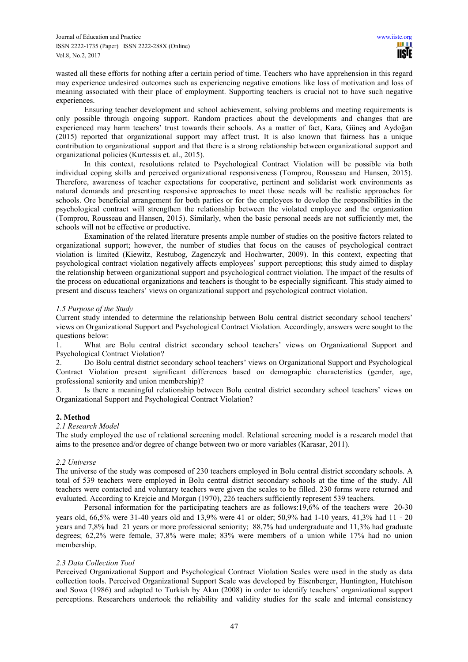wasted all these efforts for nothing after a certain period of time. Teachers who have apprehension in this regard may experience undesired outcomes such as experiencing negative emotions like loss of motivation and loss of meaning associated with their place of employment. Supporting teachers is crucial not to have such negative experiences.

Ensuring teacher development and school achievement, solving problems and meeting requirements is only possible through ongoing support. Random practices about the developments and changes that are experienced may harm teachers' trust towards their schools. As a matter of fact, Kara, Güneş and Aydoğan (2015) reported that organizational support may affect trust. It is also known that fairness has a unique contribution to organizational support and that there is a strong relationship between organizational support and organizational policies (Kurtessis et. al., 2015).

In this context, resolutions related to Psychological Contract Violation will be possible via both individual coping skills and perceived organizational responsiveness (Tomprou, Rousseau and Hansen, 2015). Therefore, awareness of teacher expectations for cooperative, pertinent and solidarist work environments as natural demands and presenting responsive approaches to meet those needs will be realistic approaches for schools. Ore beneficial arrangement for both parties or for the employees to develop the responsibilities in the psychological contract will strengthen the relationship between the violated employee and the organization (Tomprou, Rousseau and Hansen, 2015). Similarly, when the basic personal needs are not sufficiently met, the schools will not be effective or productive.

Examination of the related literature presents ample number of studies on the positive factors related to organizational support; however, the number of studies that focus on the causes of psychological contract violation is limited (Kiewitz, Restubog, Zagenczyk and Hochwarter, 2009). In this context, expecting that psychological contract violation negatively affects employees' support perceptions; this study aimed to display the relationship between organizational support and psychological contract violation. The impact of the results of the process on educational organizations and teachers is thought to be especially significant. This study aimed to present and discuss teachers' views on organizational support and psychological contract violation.

## *1.5 Purpose of the Study*

Current study intended to determine the relationship between Bolu central district secondary school teachers' views on Organizational Support and Psychological Contract Violation. Accordingly, answers were sought to the questions below:

1. What are Bolu central district secondary school teachers' views on Organizational Support and Psychological Contract Violation?

2. Do Bolu central district secondary school teachers' views on Organizational Support and Psychological Contract Violation present significant differences based on demographic characteristics (gender, age, professional seniority and union membership)?

3. Is there a meaningful relationship between Bolu central district secondary school teachers' views on Organizational Support and Psychological Contract Violation?

#### **2. Method**

## *2.1 Research Model*

The study employed the use of relational screening model. Relational screening model is a research model that aims to the presence and/or degree of change between two or more variables (Karasar, 2011).

## *2.2 Universe*

The universe of the study was composed of 230 teachers employed in Bolu central district secondary schools. A total of 539 teachers were employed in Bolu central district secondary schools at the time of the study. All teachers were contacted and voluntary teachers were given the scales to be filled. 230 forms were returned and evaluated. According to Krejcie and Morgan (1970), 226 teachers sufficiently represent 539 teachers.

Personal information for the participating teachers are as follows:19,6% of the teachers were 20-30 years old, 66,5% were 31-40 years old and 13,9% were 41 or older; 50,9% had 1-10 years, 41,3% had 11‐20 years and 7,8% had 21 years or more professional seniority; 88,7% had undergraduate and 11,3% had graduate degrees; 62,2% were female, 37,8% were male; 83% were members of a union while 17% had no union membership.

#### *2.3 Data Collection Tool*

Perceived Organizational Support and Psychological Contract Violation Scales were used in the study as data collection tools. Perceived Organizational Support Scale was developed by Eisenberger, Huntington, Hutchison and Sowa (1986) and adapted to Turkish by Akın (2008) in order to identify teachers' organizational support perceptions. Researchers undertook the reliability and validity studies for the scale and internal consistency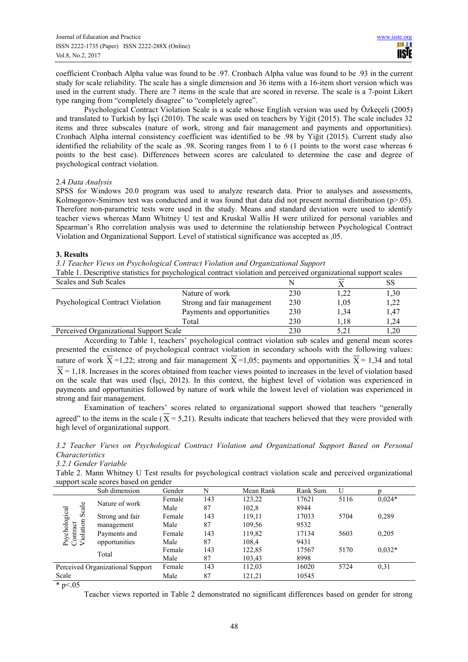coefficient Cronbach Alpha value was found to be .97. Cronbach Alpha value was found to be .93 in the current study for scale reliability. The scale has a single dimension and 36 items with a 16-item short version which was used in the current study. There are 7 items in the scale that are scored in reverse. The scale is a 7-point Likert type ranging from "completely disagree" to "completely agree".

Psychological Contract Violation Scale is a scale whose English version was used by Özkeçeli (2005) and translated to Turkish by İşçi (2010). The scale was used on teachers by Yiğit (2015). The scale includes 32 items and three subscales (nature of work, strong and fair management and payments and opportunities). Cronbach Alpha internal consistency coefficient was identified to be .98 by Yiğit (2015). Current study also identified the reliability of the scale as .98. Scoring ranges from 1 to 6 (1 points to the worst case whereas 6 points to the best case). Differences between scores are calculated to determine the case and degree of psychological contract violation.

# 2.4 *Data Analysis*

SPSS for Windows 20.0 program was used to analyze research data. Prior to analyses and assessments, Kolmogorov-Smirnov test was conducted and it was found that data did not present normal distribution (p>.05). Therefore non-parametric tests were used in the study. Means and standard deviation were used to identify teacher views whereas Mann Whitney U test and Kruskal Wallis H were utilized for personal variables and Spearman's Rho correlation analysis was used to determine the relationship between Psychological Contract Violation and Organizational Support. Level of statistical significance was accepted as ,05.

## **3. Results**

*3.1 Teacher Views on Psychological Contract Violation and Organizational Support* 

Table 1. Descriptive statistics for psychological contract violation and perceived organizational support scales

| Scales and Sub Scales                  |                            |     |      | SS   |
|----------------------------------------|----------------------------|-----|------|------|
|                                        | Nature of work             | 230 | .22  | 1,30 |
| Psychological Contract Violation       | Strong and fair management | 230 | 1.05 | 1,22 |
|                                        | Payments and opportunities | 230 | 1.34 | 1,47 |
|                                        | Total                      | 230 | 1.18 | .24  |
| Perceived Organizational Support Scale |                            | 230 | 5.21 | 1.20 |

According to Table 1, teachers' psychological contract violation sub scales and general mean scores presented the existence of psychological contract violation in secondary schools with the following values: nature of work  $\overline{X}$  =1,22; strong and fair management  $\overline{X}$  =1,05; payments and opportunities  $\overline{X}$  = 1,34 and total  $\overline{X}$  = 1,18. Increases in the scores obtained from teacher views pointed to increases in the level of violation based on the scale that was used (İşçi, 2012). In this context, the highest level of violation was experienced in payments and opportunities followed by nature of work while the lowest level of violation was experienced in strong and fair management.

Examination of teachers' scores related to organizational support showed that teachers "generally agreed" to the items in the scale ( $\overline{X}$  = 5,21). Results indicate that teachers believed that they were provided with high level of organizational support.

*3.2 Teacher Views on Psychological Contract Violation and Organizational Support Based on Personal Characteristics* 

#### *3.2.1 Gender Variable*

Table 2. Mann Whitney U Test results for psychological contract violation scale and perceived organizational support scale scores based on gender

|                                     | Sub dimension                    | Gender | N      | Mean Rank | Rank Sum | U        |       |
|-------------------------------------|----------------------------------|--------|--------|-----------|----------|----------|-------|
| Nature of work<br>Scale             | Female                           | 143    | 123,22 | 17621     | 5116     | $0.024*$ |       |
|                                     | Male                             | 87     | 102,8  | 8944      |          |          |       |
|                                     | Strong and fair                  | Female | 143    | 119,11    | 17033    | 5704     | 0,289 |
|                                     | management                       | Male   | 87     | 109.56    | 9532     |          |       |
| Psychological<br>iolation<br>ontact | Payments and                     | Female | 143    | 119,82    | 17134    | 5603     | 0,205 |
|                                     | opportunities                    | Male   | 87     | 108,4     | 9431     |          |       |
| Total                               | Female                           | 143    | 122,85 | 17567     | 5170     | $0.032*$ |       |
|                                     | Male                             | 87     | 103,43 | 8998      |          |          |       |
|                                     | Perceived Organizational Support | Female | 143    | 112,03    | 16020    | 5724     | 0.31  |
| Scale                               |                                  | Male   | 87     | 121,21    | 10545    |          |       |

 $*_{p<.05}$ 

Teacher views reported in Table 2 demonstrated no significant differences based on gender for strong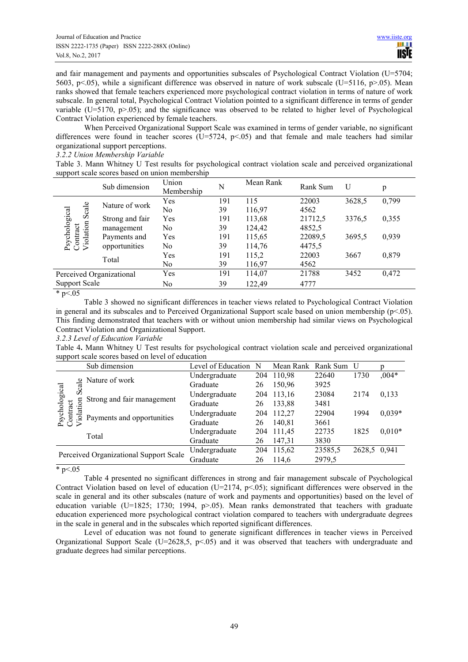and fair management and payments and opportunities subscales of Psychological Contract Violation (U=5704; 5603, p<.05), while a significant difference was observed in nature of work subscale (U=5116, p>.05). Mean ranks showed that female teachers experienced more psychological contract violation in terms of nature of work subscale. In general total, Psychological Contract Violation pointed to a significant difference in terms of gender variable  $(U=5170, p>05)$ ; and the significance was observed to be related to higher level of Psychological Contract Violation experienced by female teachers.

When Perceived Organizational Support Scale was examined in terms of gender variable, no significant differences were found in teacher scores ( $U=5724$ ,  $p<0.05$ ) and that female and male teachers had similar organizational support perceptions.

*3.2.2 Union Membership Variable* 

Table 3. Mann Whitney U Test results for psychological contract violation scale and perceived organizational support scale scores based on union membership

|                          | Sub dimension   | Union<br>Membership | N      | Mean Rank | Rank Sum | U      | p     |
|--------------------------|-----------------|---------------------|--------|-----------|----------|--------|-------|
| Scale<br>Nature of work  | Yes             | 191                 | 115    | 22003     | 3628,5   | 0,799  |       |
|                          |                 | No                  | 39     | 116,97    | 4562     |        |       |
| Psychological            | Strong and fair | Yes                 | 191    | 113,68    | 21712,5  | 3376,5 | 0,355 |
|                          | management      | No                  | 39     | 124,42    | 4852,5   |        |       |
| Violation<br>Contract    | Payments and    | Yes                 | 191    | 115,65    | 22089,5  | 3695,5 | 0,939 |
|                          | opportunities   | No                  | 39     | 114,76    | 4475,5   |        |       |
| Total                    | Yes             | 191                 | 115,2  | 22003     | 3667     | 0,879  |       |
|                          | No              | 39                  | 116,97 | 4562      |          |        |       |
| Perceived Organizational |                 | Yes                 | 191    | 114,07    | 21788    | 3452   | 0,472 |
| <b>Support Scale</b>     |                 | No                  | 39     | 122,49    | 4777     |        |       |

\*  $p < 05$ 

Table 3 showed no significant differences in teacher views related to Psychological Contract Violation in general and its subscales and to Perceived Organizational Support scale based on union membership (p<.05). This finding demonstrated that teachers with or without union membership had similar views on Psychological Contract Violation and Organizational Support.

# *3.2.3 Level of Education Variable*

Table 4**.** Mann Whitney U Test results for psychological contract violation scale and perceived organizational support scale scores based on level of education

|                                                                                | Sub dimension | Level of Education | N          | Mean Rank | Rank Sum | U        |       |
|--------------------------------------------------------------------------------|---------------|--------------------|------------|-----------|----------|----------|-------|
| Nature of work<br>sychological<br>Scal<br>Strong and fair management<br>lation | Undergraduate | 204                | 110,98     | 22640     | 1730     | $0.04*$  |       |
|                                                                                | Graduate      | 26                 | 150,96     | 3925      |          |          |       |
|                                                                                | Undergraduate | 204                | 113,16     | 23084     | 2174     | 0,133    |       |
|                                                                                | Graduate      | 26                 | 133,88     | 3481      |          |          |       |
| ontract<br>ō<br>Payments and opportunities                                     | Undergraduate | 204                | 112,27     | 22904     | 1994     | $0,039*$ |       |
|                                                                                | Graduate      | 26                 | 140.81     | 3661      |          |          |       |
| Total                                                                          | Undergraduate |                    | 204 111,45 | 22735     | 1825     | $0,010*$ |       |
|                                                                                | Graduate      | 26                 | 147,31     | 3830      |          |          |       |
| Perceived Organizational Support Scale                                         |               | Undergraduate      | 204        | 115,62    | 23585,5  | 2628,5   | 0.941 |
|                                                                                |               | Graduate           | 26         | 114.6     | 2979,5   |          |       |

\*  $p < 05$ 

Table 4 presented no significant differences in strong and fair management subscale of Psychological Contract Violation based on level of education  $(U=2174, p<0.65)$ ; significant differences were observed in the scale in general and its other subscales (nature of work and payments and opportunities) based on the level of education variable (U=1825; 1730; 1994,  $p>0.05$ ). Mean ranks demonstrated that teachers with graduate education experienced more psychological contract violation compared to teachers with undergraduate degrees in the scale in general and in the subscales which reported significant differences.

Level of education was not found to generate significant differences in teacher views in Perceived Organizational Support Scale (U=2628,5,  $p<0.05$ ) and it was observed that teachers with undergraduate and graduate degrees had similar perceptions.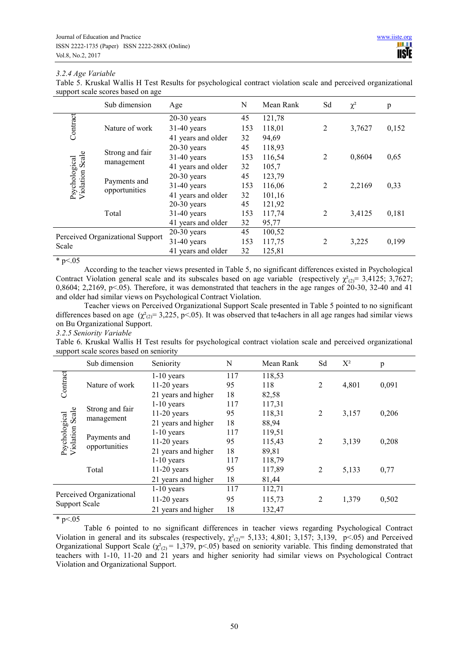# *3.2.4 Age Variable*

Table 5. Kruskal Wallis H Test Results for psychological contract violation scale and perceived organizational support scale scores based on age

|                                                                            | Sub dimension                    | Age                | N      | Mean Rank | Sd             | $\chi^2$ | p     |
|----------------------------------------------------------------------------|----------------------------------|--------------------|--------|-----------|----------------|----------|-------|
|                                                                            |                                  | $20-30$ years      | 45     | 121,78    |                |          |       |
| Contract                                                                   | Nature of work                   | $31-40$ years      | 153    | 118,01    | $\overline{2}$ | 3,7627   | 0,152 |
|                                                                            |                                  | 41 years and older | 32     | 94,69     |                |          |       |
|                                                                            |                                  | $20-30$ years      | 45     | 118,93    |                |          |       |
| Strong and fair<br>Scale<br>Psychological<br>Violation Scale<br>management | $31-40$ years                    | 153                | 116,54 | 2         | 0,8604         | 0,65     |       |
|                                                                            | 41 years and older               | 32                 | 105,7  |           |                |          |       |
|                                                                            |                                  | $20-30$ years      | 45     | 123,79    |                |          |       |
|                                                                            | Payments and<br>opportunities    | $31-40$ years      | 153    | 116,06    | 2              | 2,2169   | 0,33  |
|                                                                            |                                  | 41 years and older | 32     | 101,16    |                |          |       |
|                                                                            |                                  | $20-30$ years      | 45     | 121,92    |                |          |       |
|                                                                            | Total                            | $31-40$ years      | 153    | 117,74    | 2              | 3,4125   | 0,181 |
|                                                                            | 41 years and older               | 32                 | 95,77  |           |                |          |       |
|                                                                            | Perceived Organizational Support | $20-30$ years      | 45     | 100,52    |                |          |       |
| Scale                                                                      |                                  | $31-40$ years      | 153    | 117,75    | 2              | 3,225    | 0,199 |
|                                                                            |                                  | 41 years and older | 32     | 125,81    |                |          |       |

# $*_{p<.05}$

According to the teacher views presented in Table 5, no significant differences existed in Psychological Contract Violation general scale and its subscales based on age variable (respectively  $\chi^2_{(2)}=3,4125; 3,7627;$ 0,8604; 2,2169, p<.05). Therefore, it was demonstrated that teachers in the age ranges of 20-30, 32-40 and 41 and older had similar views on Psychological Contract Violation.

Teacher views on Perceived Organizational Support Scale presented in Table 5 pointed to no significant differences based on age  $(\chi^2_{2})= 3,225, p<0.05$ . It was observed that te4achers in all age ranges had similar views on Bu Organizational Support.

#### *3.2.5 Seniority Variable*

Table 6. Kruskal Wallis H Test results for psychological contract violation scale and perceived organizational support scale scores based on seniority

|                                                                   | Sub dimension            | Seniority           | N      | Mean Rank      | Sd    | $X^2$ | p     |
|-------------------------------------------------------------------|--------------------------|---------------------|--------|----------------|-------|-------|-------|
| Contract                                                          |                          | $1-10$ years        | 117    | 118,53         |       |       |       |
| Nature of work                                                    | $11-20$ years            | 95                  | 118    | $\overline{c}$ | 4,801 | 0,091 |       |
|                                                                   |                          | 21 years and higher | 18     | 82,58          |       |       |       |
|                                                                   |                          | $1-10$ years        | 117    | 117,31         |       |       |       |
| Strong and fair<br>Psychological<br>Violation Scale<br>management | $11-20$ years            | 95                  | 118,31 | $\overline{2}$ | 3,157 | 0,206 |       |
|                                                                   | 21 years and higher      | 18                  | 88,94  |                |       |       |       |
|                                                                   |                          | $1-10$ years        | 117    | 119,51         |       |       |       |
|                                                                   | Payments and             | $11-20$ years       | 95     | 115,43         | 2     | 3,139 | 0,208 |
|                                                                   | opportunities            | 21 years and higher | 18     | 89,81          |       |       |       |
|                                                                   | $1-10$ years             | 117                 | 118,79 |                |       |       |       |
|                                                                   | Total                    | $11-20$ years       | 95     | 117,89         | 2     | 5,133 | 0,77  |
|                                                                   |                          | 21 years and higher | 18     | 81,44          |       |       |       |
|                                                                   |                          | $1-10$ years        | 117    | 112,71         |       |       |       |
|                                                                   | Perceived Organizational | $11-20$ years       | 95     | 115,73         | 2     | 1,379 | 0,502 |
| Support Scale                                                     | 21 years and higher      | 18                  | 132,47 |                |       |       |       |

 $*_{p<.05}$ 

Table 6 pointed to no significant differences in teacher views regarding Psychological Contract Violation in general and its subscales (respectively,  $\chi^2_{(2)}$ = 5,133; 4,801; 3,157; 3,139, p<.05) and Perceived Organizational Support Scale ( $\chi^2_{(2)}$  = 1,379, p<05) based on seniority variable. This finding demonstrated that teachers with 1-10, 11-20 and 21 years and higher seniority had similar views on Psychological Contract Violation and Organizational Support.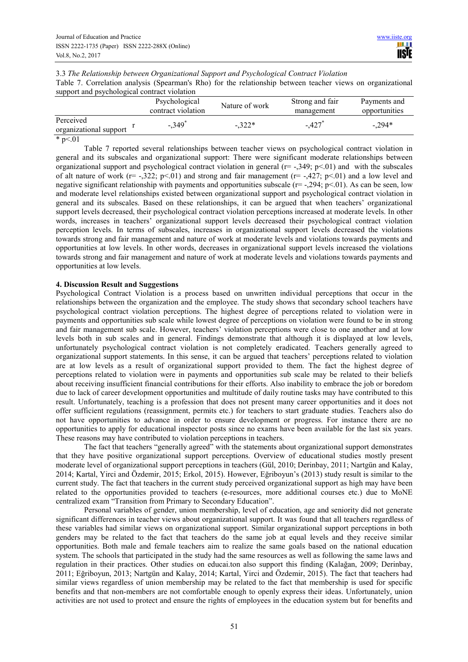| 3.3 The Relationship between Organizational Support and Psychological Contract Violation |  |
|------------------------------------------------------------------------------------------|--|
|------------------------------------------------------------------------------------------|--|

Table 7. Correlation analysis (Spearman's Rho) for the relationship between teacher views on organizational support and psychological contract violation

|                                     | Psychological<br>contract violation | Nature of work | Strong and fair<br>management | Payments and<br>opportunities |  |
|-------------------------------------|-------------------------------------|----------------|-------------------------------|-------------------------------|--|
| Perceived<br>organizational support | $-.349$ <sup>*</sup>                | $-322*$        | $-427$                        | $-0.294*$                     |  |
| $\sim$                              |                                     |                |                               |                               |  |

 $*$  p $< 01$ 

Table 7 reported several relationships between teacher views on psychological contract violation in general and its subscales and organizational support: There were significant moderate relationships between organizational support and psychological contract violation in general (r= -,349; p<.01) and with the subscales of alt nature of work ( $r=$  -,322; p<.01) and strong and fair management ( $r=$  -,427; p<.01) and a low level and negative significant relationship with payments and opportunities subscale  $(r=-0.294; p<0.01)$ . As can be seen, low and moderate level relationships existed between organizational support and psychological contract violation in general and its subscales. Based on these relationships, it can be argued that when teachers' organizational support levels decreased, their psychological contract violation perceptions increased at moderate levels. In other words, increases in teachers' organizational support levels decreased their psychological contract violation perception levels. In terms of subscales, increases in organizational support levels decreased the violations towards strong and fair management and nature of work at moderate levels and violations towards payments and opportunities at low levels. In other words, decreases in organizational support levels increased the violations towards strong and fair management and nature of work at moderate levels and violations towards payments and opportunities at low levels.

# **4. Discussion Result and Suggestions**

Psychological Contract Violation is a process based on unwritten individual perceptions that occur in the relationships between the organization and the employee. The study shows that secondary school teachers have psychological contract violation perceptions. The highest degree of perceptions related to violation were in payments and opportunities sub scale while lowest degree of perceptions on violation were found to be in strong and fair management sub scale. However, teachers' violation perceptions were close to one another and at low levels both in sub scales and in general. Findings demonstrate that although it is displayed at low levels, unfortunately psychological contract violation is not completely eradicated. Teachers generally agreed to organizational support statements. In this sense, it can be argued that teachers' perceptions related to violation are at low levels as a result of organizational support provided to them. The fact the highest degree of perceptions related to violation were in payments and opportunities sub scale may be related to their beliefs about receiving insufficient financial contributions for their efforts. Also inability to embrace the job or boredom due to lack of career development opportunities and multitude of daily routine tasks may have contributed to this result. Unfortunately, teaching is a profession that does not present many career opportunities and it does not offer sufficient regulations (reassignment, permits etc.) for teachers to start graduate studies. Teachers also do not have opportunities to advance in order to ensure development or progress. For instance there are no opportunities to apply for educational inspector posts since no exams have been available for the last six years. These reasons may have contributed to violation perceptions in teachers.

The fact that teachers "generally agreed" with the statements about organizational support demonstrates that they have positive organizational support perceptions. Overview of educational studies mostly present moderate level of organizational support perceptions in teachers (Gül, 2010; Derinbay, 2011; Nartgün and Kalay, 2014; Kartal, Yirci and Özdemir, 2015; Erkol, 2015). However, Eğriboyun's (2013) study result is similar to the current study. The fact that teachers in the current study perceived organizational support as high may have been related to the opportunities provided to teachers (e-resources, more additional courses etc.) due to MoNE centralized exam "Transition from Primary to Secondary Education".

Personal variables of gender, union membership, level of education, age and seniority did not generate significant differences in teacher views about organizational support. It was found that all teachers regardless of these variables had similar views on organizational support. Similar organizational support perceptions in both genders may be related to the fact that teachers do the same job at equal levels and they receive similar opportunities. Both male and female teachers aim to realize the same goals based on the national education system. The schools that participated in the study had the same resources as well as following the same laws and regulation in their practices. Other studies on educai.ton also support this finding (Kalağan, 2009; Derinbay, 2011; Eğriboyun, 2013; Nartgün and Kalay, 2014; Kartal, Yirci and Özdemir, 2015). The fact that teachers had similar views regardless of union membership may be related to the fact that membership is used for specific benefits and that non-members are not comfortable enough to openly express their ideas. Unfortunately, union activities are not used to protect and ensure the rights of employees in the education system but for benefits and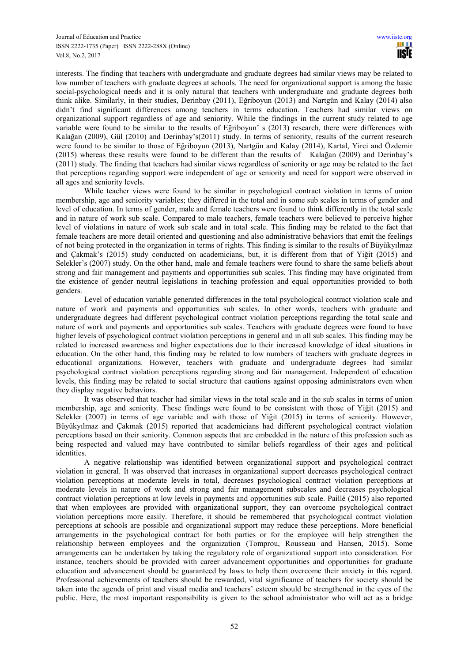interests. The finding that teachers with undergraduate and graduate degrees had similar views may be related to low number of teachers with graduate degrees at schools. The need for organizational support is among the basic social-psychological needs and it is only natural that teachers with undergraduate and graduate degrees both think alike. Similarly, in their studies, Derinbay (2011), Eğriboyun (2013) and Nartgün and Kalay (2014) also didn't find significant differences among teachers in terms education. Teachers had similar views on organizational support regardless of age and seniority. While the findings in the current study related to age variable were found to be similar to the results of Eğriboyun' s (2013) research, there were differences with Kalağan (2009), Gül (2010) and Derinbay's(2011) study. In terms of seniority, results of the current research were found to be similar to those of Eğriboyun (2013), Nartgün and Kalay (2014), Kartal, Yirci and Özdemir (2015) whereas these results were found to be different than the results of Kalağan (2009) and Derinbay's (2011) study. The finding that teachers had similar views regardless of seniority or age may be related to the fact that perceptions regarding support were independent of age or seniority and need for support were observed in all ages and seniority levels.

While teacher views were found to be similar in psychological contract violation in terms of union membership, age and seniority variables; they differed in the total and in some sub scales in terms of gender and level of education. In terms of gender, male and female teachers were found to think differently in the total scale and in nature of work sub scale. Compared to male teachers, female teachers were believed to perceive higher level of violations in nature of work sub scale and in total scale. This finding may be related to the fact that female teachers are more detail oriented and questioning and also administrative behaviors that emit the feelings of not being protected in the organization in terms of rights. This finding is similar to the results of Büyükyılmaz and Çakmak's (2015) study conducted on academicians, but, it is different from that of Yiğit (2015) and Selekler's (2007) study. On the other hand, male and female teachers were found to share the same beliefs about strong and fair management and payments and opportunities sub scales. This finding may have originated from the existence of gender neutral legislations in teaching profession and equal opportunities provided to both genders.

Level of education variable generated differences in the total psychological contract violation scale and nature of work and payments and opportunities sub scales. In other words, teachers with graduate and undergraduate degrees had different psychological contract violation perceptions regarding the total scale and nature of work and payments and opportunities sub scales. Teachers with graduate degrees were found to have higher levels of psychological contract violation perceptions in general and in all sub scales. This finding may be related to increased awareness and higher expectations due to their increased knowledge of ideal situations in education. On the other hand, this finding may be related to low numbers of teachers with graduate degrees in educational organizations. However, teachers with graduate and undergraduate degrees had similar psychological contract violation perceptions regarding strong and fair management. Independent of education levels, this finding may be related to social structure that cautions against opposing administrators even when they display negative behaviors.

It was observed that teacher had similar views in the total scale and in the sub scales in terms of union membership, age and seniority. These findings were found to be consistent with those of Yiğit (2015) and Selekler (2007) in terms of age variable and with those of Yiğit (2015) in terms of seniority. However, Büyükyılmaz and Çakmak (2015) reported that academicians had different psychological contract violation perceptions based on their seniority. Common aspects that are embedded in the nature of this profession such as being respected and valued may have contributed to similar beliefs regardless of their ages and political *identities* 

A negative relationship was identified between organizational support and psychological contract violation in general. It was observed that increases in organizational support decreases psychological contract violation perceptions at moderate levels in total, decreases psychological contract violation perceptions at moderate levels in nature of work and strong and fair management subscales and decreases psychological contract violation perceptions at low levels in payments and opportunities sub scale. Paillé (2015) also reported that when employees are provided with organizational support, they can overcome psychological contract violation perceptions more easily. Therefore, it should be remembered that psychological contract violation perceptions at schools are possible and organizational support may reduce these perceptions. More beneficial arrangements in the psychological contract for both parties or for the employee will help strengthen the relationship between employees and the organization (Tomprou, Rousseau and Hansen, 2015). Some arrangements can be undertaken by taking the regulatory role of organizational support into consideration. For instance, teachers should be provided with career advancement opportunities and opportunities for graduate education and advancement should be guaranteed by laws to help them overcome their anxiety in this regard. Professional achievements of teachers should be rewarded, vital significance of teachers for society should be taken into the agenda of print and visual media and teachers' esteem should be strengthened in the eyes of the public. Here, the most important responsibility is given to the school administrator who will act as a bridge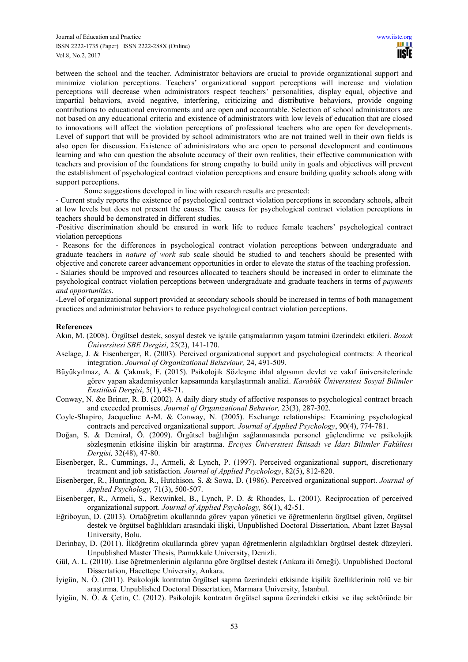between the school and the teacher. Administrator behaviors are crucial to provide organizational support and minimize violation perceptions. Teachers' organizational support perceptions will increase and violation perceptions will decrease when administrators respect teachers' personalities, display equal, objective and impartial behaviors, avoid negative, interfering, criticizing and distributive behaviors, provide ongoing contributions to educational environments and are open and accountable. Selection of school administrators are not based on any educational criteria and existence of administrators with low levels of education that are closed to innovations will affect the violation perceptions of professional teachers who are open for developments. Level of support that will be provided by school administrators who are not trained well in their own fields is also open for discussion. Existence of administrators who are open to personal development and continuous learning and who can question the absolute accuracy of their own realities, their effective communication with teachers and provision of the foundations for strong empathy to build unity in goals and objectives will prevent the establishment of psychological contract violation perceptions and ensure building quality schools along with support perceptions.

Some suggestions developed in line with research results are presented:

- Current study reports the existence of psychological contract violation perceptions in secondary schools, albeit at low levels but does not present the causes. The causes for psychological contract violation perceptions in teachers should be demonstrated in different studies.

-Positive discrimination should be ensured in work life to reduce female teachers' psychological contract violation perceptions

- Reasons for the differences in psychological contract violation perceptions between undergraduate and graduate teachers in *nature of work* sub scale should be studied to and teachers should be presented with objective and concrete career advancement opportunities in order to elevate the status of the teaching profession.

- Salaries should be improved and resources allocated to teachers should be increased in order to eliminate the psychological contract violation perceptions between undergraduate and graduate teachers in terms of *payments and opportunities*.

-Level of organizational support provided at secondary schools should be increased in terms of both management practices and administrator behaviors to reduce psychological contract violation perceptions.

## **References**

- Akın, M. (2008). Örgütsel destek, sosyal destek ve iş/aile çatışmalarının yaşam tatmini üzerindeki etkileri. *Bozok Üniversitesi SBE Dergisi*, 25(2), 141-170.
- Aselage, J. & Eisenberger, R. (2003). Percived organizational support and psychological contracts: A theorical integration. *Journal of Organizational Behaviour,* 24, 491-509.
- Büyükyılmaz, A. & Çakmak, F. (2015). Psikolojik Sözleşme ihlal algısının devlet ve vakıf üniversitelerinde görev yapan akademisyenler kapsamında karşılaştırmalı analizi. *Karabük Üniversitesi Sosyal Bilimler Enstitüsü Dergisi*, 5(1), 48-71.
- Conway, N. &e Briner, R. B. (2002). A daily diary study of affective responses to psychological contract breach and exceeded promises. *Journal of Organizational Behavior,* 23(3), 287-302.
- Coyle-Shapiro, Jacqueline A-M. & Conway, N. (2005). Exchange relationships: Examining psychological contracts and perceived organizational support. *Journal of Applied Psychology*, 90(4), 774-781.
- Doğan, S. & Demiral, Ö. (2009). Örgütsel bağlılığın sağlanmasında personel güçlendirme ve psikolojik sözleşmenin etkisine ilişkin bir araştırma. *Erciyes Üniversitesi İktisadi ve İdari Bilimler Fakültesi Dergisi,* 32(48), 47-80.
- Eisenberger, R., Cummings, J., Armeli, & Lynch, P. (1997). Perceived organizational support, discretionary treatment and job satisfaction*. Journal of Applied Psychology*, 82(5), 812-820.
- Eisenberger, R., Huntington, R., Hutchison, S. & Sowa, D. (1986). Perceived organizational support. *Journal of Applied Psychology,* 71(3), 500-507.
- Eisenberger, R., Armeli, S., Rexwinkel, B., Lynch, P. D. & Rhoades, L. (2001). Reciprocation of perceived organizational support. *Journal of Applied Psychology,* 86(1), 42-51.
- Eğriboyun, D. (2013). Ortaöğretim okullarında görev yapan yönetici ve öğretmenlerin örgütsel güven, örgütsel destek ve örgütsel bağlılıkları arasındaki ilişki, Unpublished Doctoral Dissertation, Abant İzzet Baysal University, Bolu.
- Derinbay, D. (2011). İlköğretim okullarında görev yapan öğretmenlerin algıladıkları örgütsel destek düzeyleri. Unpublished Master Thesis, Pamukkale University, Denizli.
- Gül, A. L. (2010). Lise öğretmenlerinin algılarına göre örgütsel destek (Ankara ili örneği). Unpublished Doctoral Dissertation, Hacettepe University, Ankara.
- İyigün, N. Ö. (2011). Psikolojik kontratın örgütsel sapma üzerindeki etkisinde kişilik özelliklerinin rolü ve bir araştırma*,* Unpublished Doctoral Dissertation, Marmara University, İstanbul.
- İyigün, N. Ö. & Çetin, C. (2012). Psikolojik kontratın örgütsel sapma üzerindeki etkisi ve ilaç sektöründe bir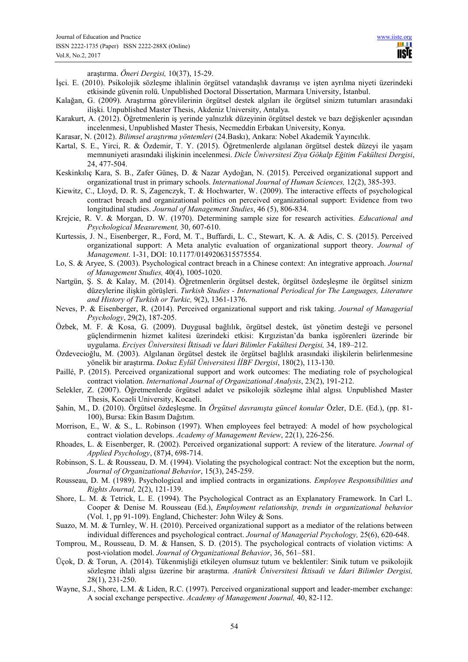araştırma. *Öneri Dergisi,* 10(37), 15-29.

- İşci. E. (2010). Psikolojik sözleşme ihlalinin örgütsel vatandaşlık davranışı ve işten ayrılma niyeti üzerindeki etkisinde güvenin rolü. Unpublished Doctoral Dissertation, Marmara University, İstanbul.
- Kalağan, G. (2009). Araştırma görevlilerinin örgütsel destek algıları ile örgütsel sinizm tutumları arasındaki ilişki. Unpublished Master Thesis, Akdeniz University, Antalya.
- Karakurt, A. (2012). Öğretmenlerin iş yerinde yalnızlık düzeyinin örgütsel destek ve bazı değişkenler açısından incelenmesi, Unpublished Master Thesis, Necmeddin Erbakan University, Konya.
- Karasar, N. (2012). *Bilimsel araştırma yöntemleri* (24.Baskı), Ankara: Nobel Akademik Yayıncılık.
- Kartal, S. E., Yirci, R. & Özdemir, T. Y. (2015). Öğretmenlerde algılanan örgütsel destek düzeyi ile yaşam memnuniyeti arasındaki ilişkinin incelenmesi. *Dicle Üniversitesi Ziya Gökalp Eğitim Fakültesi Dergisi*, 24, 477-504.
- Keskinkılıç Kara, S. B., Zafer Güneş, D. & Nazar Aydoğan, N. (2015). Perceived organizational support and organizational trust in primary schools. *International Journal of Human Sciences,* 12(2), 385-393.
- Kiewitz, C., Lloyd, D. R. S, Zagenczyk, T. & Hochwarter, W. (2009). The interactive effects of psychological contract breach and organizational politics on perceived organizational support: Evidence from two longitudinal studies. *Journal of Management Studies*, 46 (5), 806-834.
- Krejcie, R. V. & Morgan, D. W. (1970). Determining sample size for research activities. *Educational and Psychological Measurement,* 30, 607-610.
- Kurtessis, J. N., Eisenberger, R., Ford, M. T., Buffardi, L. C., Stewart, K. A. & Adis, C. S. (2015). Perceived organizational support: A Meta analytic evaluation of organizational support theory. *Journal of Management*. 1-31, DOI: 10.1177/0149206315575554.
- Lo, S. & Aryee, S. (2003). Psychological contract breach in a Chinese context: An integrative approach. *Journal of Management Studies,* 40(4), 1005-1020.
- Nartgün, Ş. S. & Kalay, M. (2014). Öğretmenlerin örgütsel destek, örgütsel özdeşleşme ile örgütsel sinizm düzeylerine ilişkin görüşleri. *Turkish Studies - International Periodical for The Languages, Literature and History of Turkish or Turkic,* 9(2), 1361-1376.
- Neves, P. & Eisenberger, R. (2014). Perceived organizational support and risk taking. *Journal of Managerial Psychology*, 29(2), 187-205.
- Özbek, M. F. & Kosa, G. (2009). Duygusal bağlılık, örgütsel destek, üst yönetim desteği ve personel güçlendirmenin hizmet kalitesi üzerindeki etkisi: Kırgızistan'da banka işgörenleri üzerinde bir uygulama. *Erciyes Üniversitesi İktisadi ve İdari Bilimler Fakültesi Dergisi,* 34, 189–212.
- Özdevecioğlu, M. (2003). Algılanan örgütsel destek ile örgütsel bağlılık arasındaki ilişkilerin belirlenmesine yönelik bir araştırma. *Dokuz Eylül Üniversitesi İİBF Dergisi*, 180(2), 113-130.
- Paillé, P. (2015). Perceived organizational support and work outcomes: The mediating role of psychological contract violation. *International Journal of Organizational Analysis*, 23(2), 191-212.
- Selekler, Z. (2007). Öğretmenlerde örgütsel adalet ve psikolojik sözleşme ihlal algısı*.* Unpublished Master Thesis, Kocaeli University, Kocaeli.
- Şahin, M., D. (2010). Örgütsel özdeşleşme. In *Örgütsel davranışta güncel konular* Özler, D.E. (Ed.), (pp. 81- 100), Bursa: Ekin Basım Dağıtım.
- Morrison, E., W. & S., L. Robinson (1997). When employees feel betrayed: A model of how psychological contract violation develops. *Academy of Management Review*, 22(1), 226-256.
- Rhoades, L. & Eisenberger, R. (2002). Perceived organizational support: A review of the literature. *Journal of Applied Psychology*, (87)4, 698-714.
- Robinson, S. L. & Rousseau, D. M. (1994). Violating the psychological contract: Not the exception but the norm, *Journal of Organizational Behavior*, 15(3), 245-259.
- Rousseau, D. M. (1989). Psychological and implied contracts in organizations. *Employee Responsibilities and Rights Journal,* 2(2), 121-139.
- Shore, L. M. & Tetrick, L. E. (1994). The Psychological Contract as an Explanatory Framework. In Carl L. Cooper & Denise M. Rousseau (Ed.), *Employment relationship, trends in organizational behavior* (Vol. 1, pp 91-109). England, Chichester: John Wiley & Sons.
- Suazo, M. M. & Turnley, W. H. (2010). Perceived organizational support as a mediator of the relations between individual differences and psychological contract. *Journal of Managerial Psychology,* 25(6), 620-648.
- Tomprou, M., Rousseau, D. M. & Hansen, S. D. (2015). The psychological contracts of violation victims: A post-violation model. *Journal of Organizational Behavior*, 36, 561–581.
- Üçok, D. & Torun, A. (2014). Tükenmişliği etkileyen olumsuz tutum ve beklentiler: Sinik tutum ve psikolojik sözleşme ihlali algısı üzerine bir araştırma. *Atatürk Üniversitesi İktisadi ve İdari Bilimler Dergisi,*  28(1), 231-250.
- Wayne, S.J., Shore, L.M. & Liden, R.C. (1997). Perceived organizational support and leader-member exchange: A social exchange perspective. *Academy of Management Journal,* 40, 82-112.